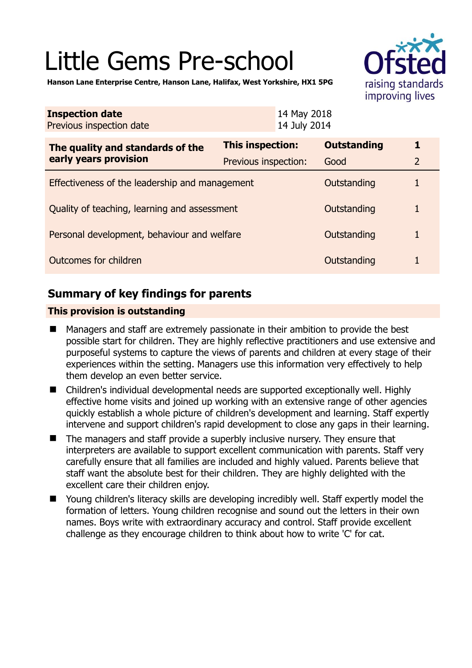# Little Gems Pre-school



**Hanson Lane Enterprise Centre, Hanson Lane, Halifax, West Yorkshire, HX1 5PG** 

| <b>Inspection date</b><br>Previous inspection date        | 14 May 2018<br>14 July 2014 |                    |                |
|-----------------------------------------------------------|-----------------------------|--------------------|----------------|
| The quality and standards of the<br>early years provision | This inspection:            | <b>Outstanding</b> | 1              |
|                                                           | Previous inspection:        | Good               | $\overline{2}$ |
| Effectiveness of the leadership and management            |                             | Outstanding        |                |
| Quality of teaching, learning and assessment              |                             | Outstanding        | 1              |
| Personal development, behaviour and welfare               |                             | Outstanding        | 1              |
| Outcomes for children                                     |                             | Outstanding        |                |

## **Summary of key findings for parents**

## **This provision is outstanding**

- Managers and staff are extremely passionate in their ambition to provide the best possible start for children. They are highly reflective practitioners and use extensive and purposeful systems to capture the views of parents and children at every stage of their experiences within the setting. Managers use this information very effectively to help them develop an even better service.
- Children's individual developmental needs are supported exceptionally well. Highly effective home visits and joined up working with an extensive range of other agencies quickly establish a whole picture of children's development and learning. Staff expertly intervene and support children's rapid development to close any gaps in their learning.
- The managers and staff provide a superbly inclusive nursery. They ensure that interpreters are available to support excellent communication with parents. Staff very carefully ensure that all families are included and highly valued. Parents believe that staff want the absolute best for their children. They are highly delighted with the excellent care their children enjoy.
- Young children's literacy skills are developing incredibly well. Staff expertly model the formation of letters. Young children recognise and sound out the letters in their own names. Boys write with extraordinary accuracy and control. Staff provide excellent challenge as they encourage children to think about how to write 'C' for cat.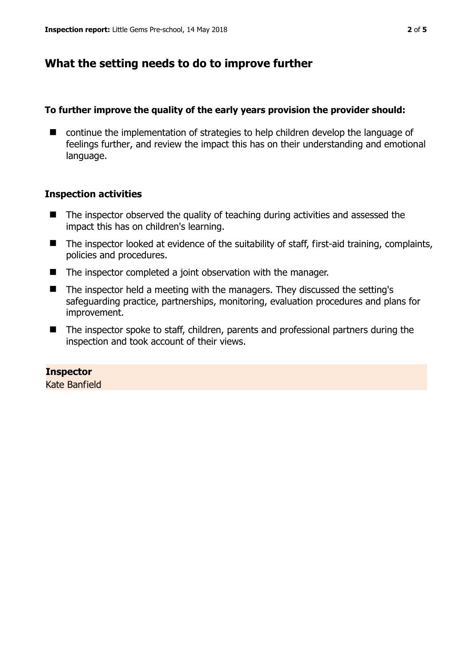## **What the setting needs to do to improve further**

## **To further improve the quality of the early years provision the provider should:**

■ continue the implementation of strategies to help children develop the language of feelings further, and review the impact this has on their understanding and emotional language.

## **Inspection activities**

- The inspector observed the quality of teaching during activities and assessed the impact this has on children's learning.
- The inspector looked at evidence of the suitability of staff, first-aid training, complaints, policies and procedures.
- The inspector completed a joint observation with the manager.
- The inspector held a meeting with the managers. They discussed the setting's safeguarding practice, partnerships, monitoring, evaluation procedures and plans for improvement.
- The inspector spoke to staff, children, parents and professional partners during the inspection and took account of their views.

## **Inspector**

Kate Banfield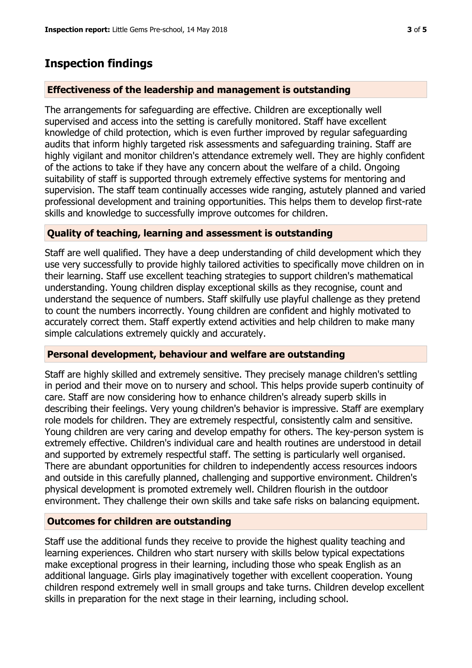## **Inspection findings**

#### **Effectiveness of the leadership and management is outstanding**

The arrangements for safeguarding are effective. Children are exceptionally well supervised and access into the setting is carefully monitored. Staff have excellent knowledge of child protection, which is even further improved by regular safeguarding audits that inform highly targeted risk assessments and safeguarding training. Staff are highly vigilant and monitor children's attendance extremely well. They are highly confident of the actions to take if they have any concern about the welfare of a child. Ongoing suitability of staff is supported through extremely effective systems for mentoring and supervision. The staff team continually accesses wide ranging, astutely planned and varied professional development and training opportunities. This helps them to develop first-rate skills and knowledge to successfully improve outcomes for children.

#### **Quality of teaching, learning and assessment is outstanding**

Staff are well qualified. They have a deep understanding of child development which they use very successfully to provide highly tailored activities to specifically move children on in their learning. Staff use excellent teaching strategies to support children's mathematical understanding. Young children display exceptional skills as they recognise, count and understand the sequence of numbers. Staff skilfully use playful challenge as they pretend to count the numbers incorrectly. Young children are confident and highly motivated to accurately correct them. Staff expertly extend activities and help children to make many simple calculations extremely quickly and accurately.

#### **Personal development, behaviour and welfare are outstanding**

Staff are highly skilled and extremely sensitive. They precisely manage children's settling in period and their move on to nursery and school. This helps provide superb continuity of care. Staff are now considering how to enhance children's already superb skills in describing their feelings. Very young children's behavior is impressive. Staff are exemplary role models for children. They are extremely respectful, consistently calm and sensitive. Young children are very caring and develop empathy for others. The key-person system is extremely effective. Children's individual care and health routines are understood in detail and supported by extremely respectful staff. The setting is particularly well organised. There are abundant opportunities for children to independently access resources indoors and outside in this carefully planned, challenging and supportive environment. Children's physical development is promoted extremely well. Children flourish in the outdoor environment. They challenge their own skills and take safe risks on balancing equipment.

#### **Outcomes for children are outstanding**

Staff use the additional funds they receive to provide the highest quality teaching and learning experiences. Children who start nursery with skills below typical expectations make exceptional progress in their learning, including those who speak English as an additional language. Girls play imaginatively together with excellent cooperation. Young children respond extremely well in small groups and take turns. Children develop excellent skills in preparation for the next stage in their learning, including school.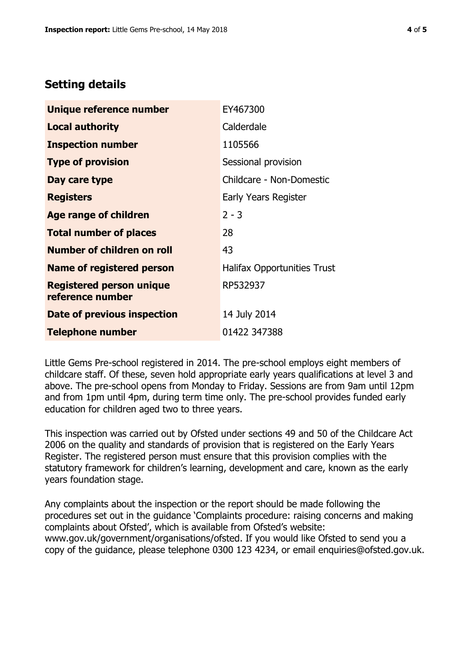## **Setting details**

| Unique reference number                             | EY467300                           |  |
|-----------------------------------------------------|------------------------------------|--|
| <b>Local authority</b>                              | Calderdale                         |  |
| <b>Inspection number</b>                            | 1105566                            |  |
| <b>Type of provision</b>                            | Sessional provision                |  |
| Day care type                                       | Childcare - Non-Domestic           |  |
| <b>Registers</b>                                    | Early Years Register               |  |
| <b>Age range of children</b>                        | $2 - 3$                            |  |
| <b>Total number of places</b>                       | 28                                 |  |
| <b>Number of children on roll</b>                   | 43                                 |  |
| <b>Name of registered person</b>                    | <b>Halifax Opportunities Trust</b> |  |
| <b>Registered person unique</b><br>reference number | RP532937                           |  |
| Date of previous inspection                         | 14 July 2014                       |  |
| <b>Telephone number</b>                             | 01422 347388                       |  |

Little Gems Pre-school registered in 2014. The pre-school employs eight members of childcare staff. Of these, seven hold appropriate early years qualifications at level 3 and above. The pre-school opens from Monday to Friday. Sessions are from 9am until 12pm and from 1pm until 4pm, during term time only. The pre-school provides funded early education for children aged two to three years.

This inspection was carried out by Ofsted under sections 49 and 50 of the Childcare Act 2006 on the quality and standards of provision that is registered on the Early Years Register. The registered person must ensure that this provision complies with the statutory framework for children's learning, development and care, known as the early years foundation stage.

Any complaints about the inspection or the report should be made following the procedures set out in the guidance 'Complaints procedure: raising concerns and making complaints about Ofsted', which is available from Ofsted's website: www.gov.uk/government/organisations/ofsted. If you would like Ofsted to send you a copy of the guidance, please telephone 0300 123 4234, or email enquiries@ofsted.gov.uk.